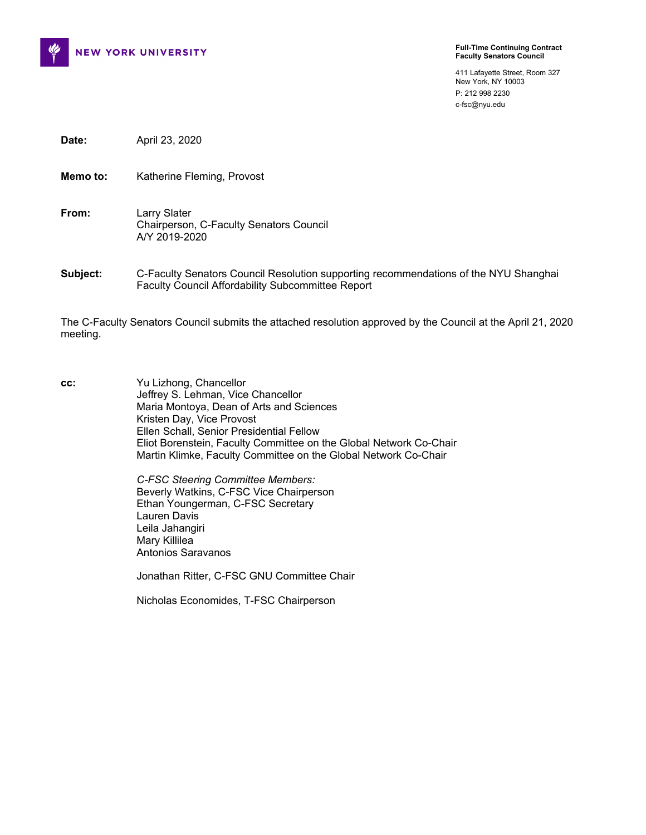

**Full-Time Continuing Contract Faculty Senators Council**

411 Lafayette Street, Room 327 New York, NY 10003 P: 212 998 2230 c-fsc@nyu.edu

**Date:** April 23, 2020

**Memo to:** Katherine Fleming, Provost

- **From:** Larry Slater Chairperson, C-Faculty Senators Council A/Y 2019-2020
- **Subject:** C-Faculty Senators Council Resolution supporting recommendations of the NYU Shanghai Faculty Council Affordability Subcommittee Report

The C-Faculty Senators Council submits the attached resolution approved by the Council at the April 21, 2020 meeting.

**cc:** Yu Lizhong, Chancellor Jeffrey S. Lehman, Vice Chancellor Maria Montoya, Dean of Arts and Sciences Kristen Day, Vice Provost Ellen Schall, Senior Presidential Fellow Eliot Borenstein, Faculty Committee on the Global Network Co-Chair Martin Klimke, Faculty Committee on the Global Network Co-Chair

> *C-FSC Steering Committee Members:* Beverly Watkins, C-FSC Vice Chairperson Ethan Youngerman, C-FSC Secretary Lauren Davis Leila Jahangiri Mary Killilea Antonios Saravanos

Jonathan Ritter, C-FSC GNU Committee Chair

Nicholas Economides, T-FSC Chairperson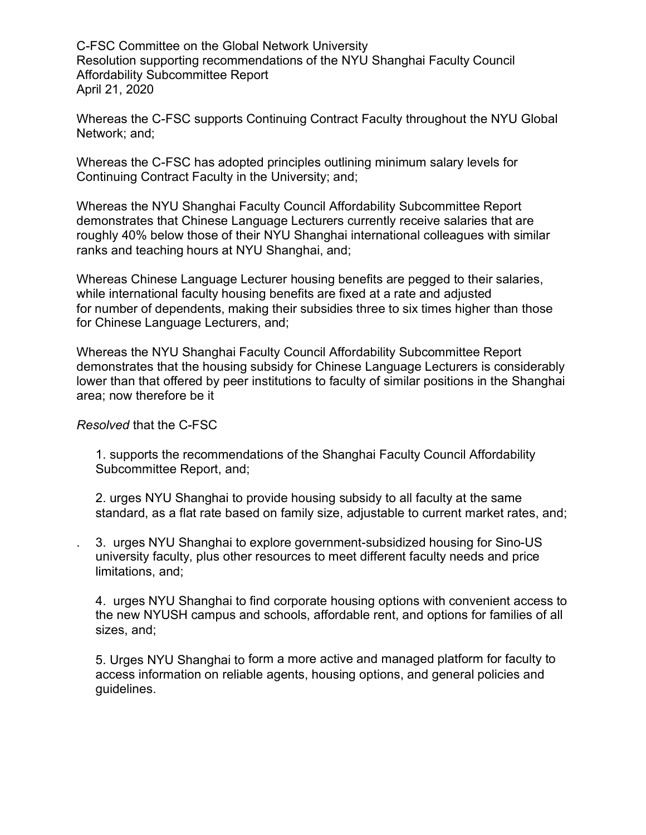C-FSC Committee on the Global Network University Resolution supporting recommendations of the NYU Shanghai Faculty Council Affordability Subcommittee Report April 21, 2020

Whereas the C-FSC supports Continuing Contract Faculty throughout the NYU Global Network; and;

Whereas the C-FSC has adopted principles outlining minimum salary levels for Continuing Contract Faculty in the University; and;

Whereas the NYU Shanghai Faculty Council Affordability Subcommittee Report demonstrates that Chinese Language Lecturers currently receive salaries that are roughly 40% below those of their NYU Shanghai international colleagues with similar ranks and teaching hours at NYU Shanghai, and;

Whereas Chinese Language Lecturer housing benefits are pegged to their salaries, while international faculty housing benefits are fixed at a rate and adjusted for number of dependents, making their subsidies three to six times higher than those for Chinese Language Lecturers, and;

Whereas the NYU Shanghai Faculty Council Affordability Subcommittee Report demonstrates that the housing subsidy for Chinese Language Lecturers is considerably lower than that offered by peer institutions to faculty of similar positions in the Shanghai area; now therefore be it

## *Resolved* that the C-FSC

1. supports the recommendations of the Shanghai Faculty Council Affordability Subcommittee Report, and;

2. urges NYU Shanghai to provide housing subsidy to all faculty at the same standard, as a flat rate based on family size, adjustable to current market rates, and;

. 3. urges NYU Shanghai to explore government-subsidized housing for Sino-US university faculty, plus other resources to meet different faculty needs and price limitations, and;

4. urges NYU Shanghai to find corporate housing options with convenient access to the new NYUSH campus and schools, affordable rent, and options for families of all sizes, and;

5. Urges NYU Shanghai to form a more active and managed platform for faculty to access information on reliable agents, housing options, and general policies and guidelines.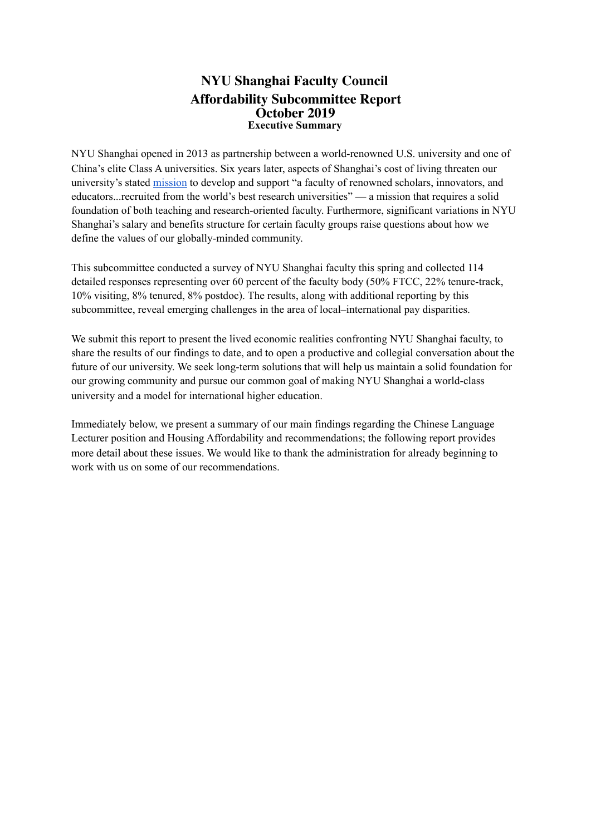## **NYU Shanghai Faculty Council Affordability Subcommittee Report October 2019 Executive Summary**

NYU Shanghai opened in 2013 as partnership between a world-renowned U.S. university and one of China's elite Class A universities. Six years later, aspects of Shanghai's cost of living threaten our university's stated [mission](https://shanghai.nyu.edu/about) to develop and support "a faculty of renowned scholars, innovators, and educators...recruited from the world's best research universities" — a mission that requires a solid foundation of both teaching and research-oriented faculty. Furthermore, significant variations in NYU Shanghai's salary and benefits structure for certain faculty groups raise questions about how we define the values of our globally-minded community.

This subcommittee conducted a survey of NYU Shanghai faculty this spring and collected 114 detailed responses representing over 60 percent of the faculty body (50% FTCC, 22% tenure-track, 10% visiting, 8% tenured, 8% postdoc). The results, along with additional reporting by this subcommittee, reveal emerging challenges in the area of local–international pay disparities.

We submit this report to present the lived economic realities confronting NYU Shanghai faculty, to share the results of our findings to date, and to open a productive and collegial conversation about the future of our university. We seek long-term solutions that will help us maintain a solid foundation for our growing community and pursue our common goal of making NYU Shanghai a world-class university and a model for international higher education.

Immediately below, we present a summary of our main findings regarding the Chinese Language Lecturer position and Housing Affordability and recommendations; the following report provides more detail about these issues. We would like to thank the administration for already beginning to work with us on some of our recommendations.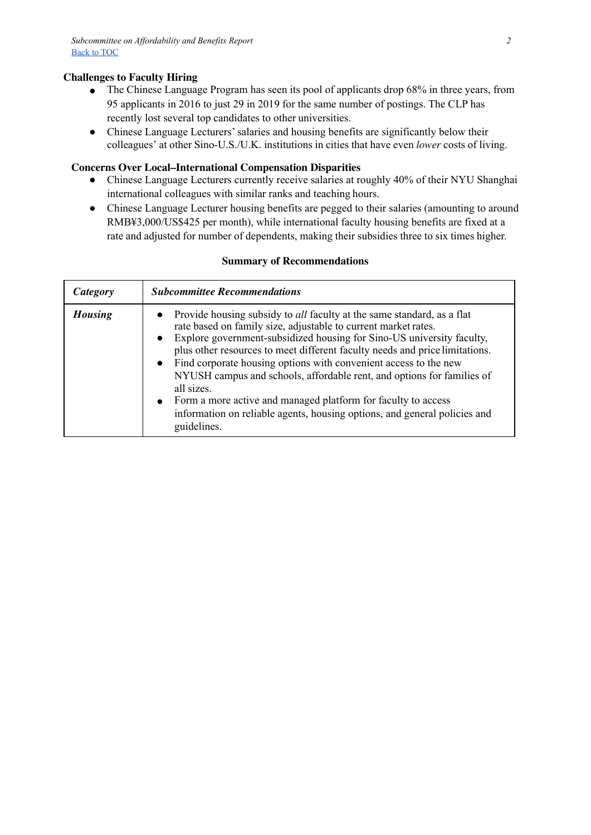# **Challenges to Faculty Hiring**

- The Chinese Language Program has seen its pool of applicants drop 68% in three years, from 95 applicants in 2016 to just 29 in 2019 for the same number of postings. The CLP has recently lost several top candidates to other universities.
- Chinese Language Lecturers' salaries and housing benefits are significantly below their colleagues' at other Sino-U.S./U.K. institutions in cities that have even *lower* costs of living.

## **Concerns Over Local–International Compensation Disparities**

- Chinese Language Lecturers currently receive salaries at roughly 40% of their NYU Shanghai international colleagues with similar ranks and teaching hours.
- Chinese Language Lecturer housing benefits are pegged to their salaries (amounting to around RMB¥3,000/US\$425 per month), while international faculty housing benefits are fixed at a rate and adjusted for number of dependents, making their subsidies three to six times higher.

## **Summary of Recommendations**

| Category       | <b>Subcommittee Recommendations</b>                                                                                                                                                                                                                                                                                                                                                                                                                                                                                                                                                                                                                 |
|----------------|-----------------------------------------------------------------------------------------------------------------------------------------------------------------------------------------------------------------------------------------------------------------------------------------------------------------------------------------------------------------------------------------------------------------------------------------------------------------------------------------------------------------------------------------------------------------------------------------------------------------------------------------------------|
| <b>Housing</b> | • Provide housing subsidy to <i>all</i> faculty at the same standard, as a flat<br>rate based on family size, adjustable to current market rates.<br>Explore government-subsidized housing for Sino-US university faculty,<br>$\bullet$<br>plus other resources to meet different faculty needs and price limitations.<br>• Find corporate housing options with convenient access to the new<br>NYUSH campus and schools, affordable rent, and options for families of<br>all sizes.<br>• Form a more active and managed platform for faculty to access<br>information on reliable agents, housing options, and general policies and<br>guidelines. |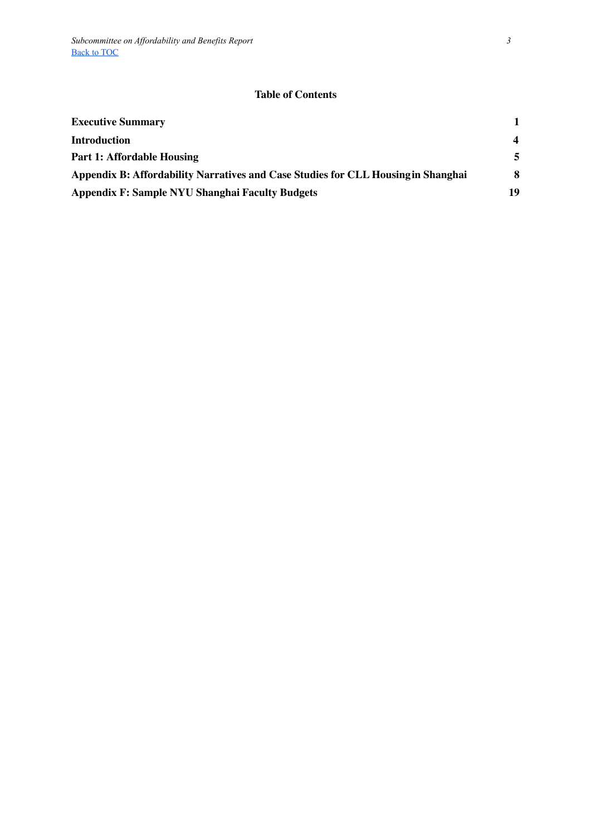## **Table of Contents**

| <b>Executive Summary</b>                                                          |                  |
|-----------------------------------------------------------------------------------|------------------|
| <b>Introduction</b>                                                               | $\boldsymbol{4}$ |
| <b>Part 1: Affordable Housing</b>                                                 | 5                |
| Appendix B: Affordability Narratives and Case Studies for CLL Housing in Shanghai | 8                |
| Appendix F: Sample NYU Shanghai Faculty Budgets                                   | 19               |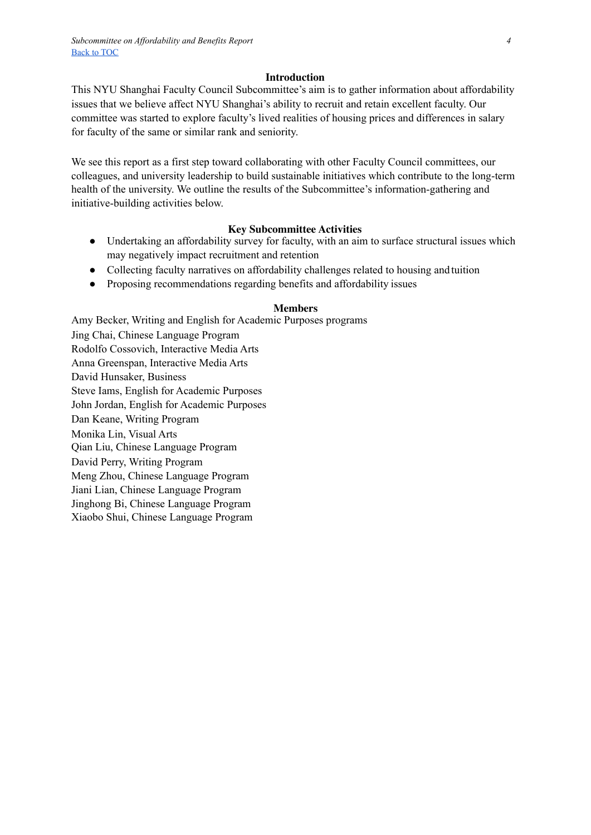## **Introduction**

This NYU Shanghai Faculty Council Subcommittee's aim is to gather information about affordability issues that we believe affect NYU Shanghai's ability to recruit and retain excellent faculty. Our committee was started to explore faculty's lived realities of housing prices and differences in salary for faculty of the same or similar rank and seniority.

We see this report as a first step toward collaborating with other Faculty Council committees, our colleagues, and university leadership to build sustainable initiatives which contribute to the long-term health of the university. We outline the results of the Subcommittee's information-gathering and initiative-building activities below.

## **Key Subcommittee Activities**

- Undertaking an affordability survey for faculty, with an aim to surface structural issues which may negatively impact recruitment and retention
- Collecting faculty narratives on affordability challenges related to housing and tuition
- Proposing recommendations regarding benefits and affordability issues

## **Members**

Amy Becker, Writing and English for Academic Purposes programs Jing Chai, Chinese Language Program Rodolfo Cossovich, Interactive Media Arts Anna Greenspan, Interactive Media Arts David Hunsaker, Business Steve Iams, English for Academic Purposes John Jordan, English for Academic Purposes Dan Keane, Writing Program Monika Lin, Visual Arts Qian Liu, Chinese Language Program David Perry, Writing Program Meng Zhou, Chinese Language Program Jiani Lian, Chinese Language Program Jinghong Bi, Chinese Language Program Xiaobo Shui, Chinese Language Program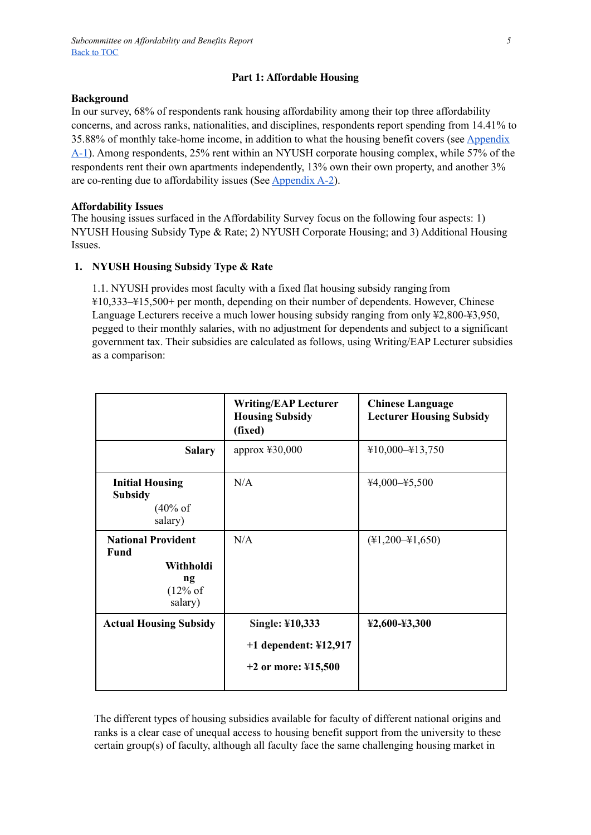## **Part 1: Affordable Housing**

#### **Background**

In our survey, 68% of respondents rank housing affordability among their top three affordability concerns, and across ranks, nationalities, and disciplines, respondents report spending from 14.41% to 35.88% of monthly take-home income, in addition to what the housing benefit covers (see Appendix A-1). Among respondents, 25% rent within an NYUSH corporate housing complex, while 57% of the respondents rent their own apartments independently, 13% own their own property, and another 3% are co-renting due to affordability issues (See Appendix A-2).

## **Affordability Issues**

The housing issues surfaced in the Affordability Survey focus on the following four aspects: 1) NYUSH Housing Subsidy Type & Rate; 2) NYUSH Corporate Housing; and 3) Additional Housing Issues.

## **1. NYUSH Housing Subsidy Type & Rate**

1.1. NYUSH provides most faculty with a fixed flat housing subsidy ranging from ¥10,333–¥15,500+ per month, depending on their number of dependents. However, Chinese Language Lecturers receive a much lower housing subsidy ranging from only ¥2,800-¥3,950, pegged to their monthly salaries, with no adjustment for dependents and subject to a significant government tax. Their subsidies are calculated as follows, using Writing/EAP Lecturer subsidies as a comparison:

|                                                                                                       | <b>Writing/EAP Lecturer</b><br><b>Housing Subsidy</b><br>(fixed)                       | <b>Chinese Language</b><br><b>Lecturer Housing Subsidy</b> |
|-------------------------------------------------------------------------------------------------------|----------------------------------------------------------------------------------------|------------------------------------------------------------|
| <b>Salary</b>                                                                                         | approx $430,000$                                                                       | $¥10,000-¥13,750$                                          |
| <b>Initial Housing</b><br><b>Subsidy</b><br>(40% of<br>salary)                                        | N/A                                                                                    | $44,000 - 45,500$                                          |
| <b>National Provident</b><br><b>Fund</b><br>Withholdi<br>$\mathbf{n}\mathbf{g}$<br>(12% of<br>salary) | N/A                                                                                    | $(\text{\#}1, 200 - \text{\#}1, 650)$                      |
| <b>Actual Housing Subsidy</b>                                                                         | Single: ¥10,333<br>$+1$ dependent: ¥12,917<br>+2 or more: $\text{\textsterling}15,500$ | ¥2,600-¥3,300                                              |

The different types of housing subsidies available for faculty of different national origins and ranks is a clear case of unequal access to housing benefit support from the university to these certain group(s) of faculty, although all faculty face the same challenging housing market in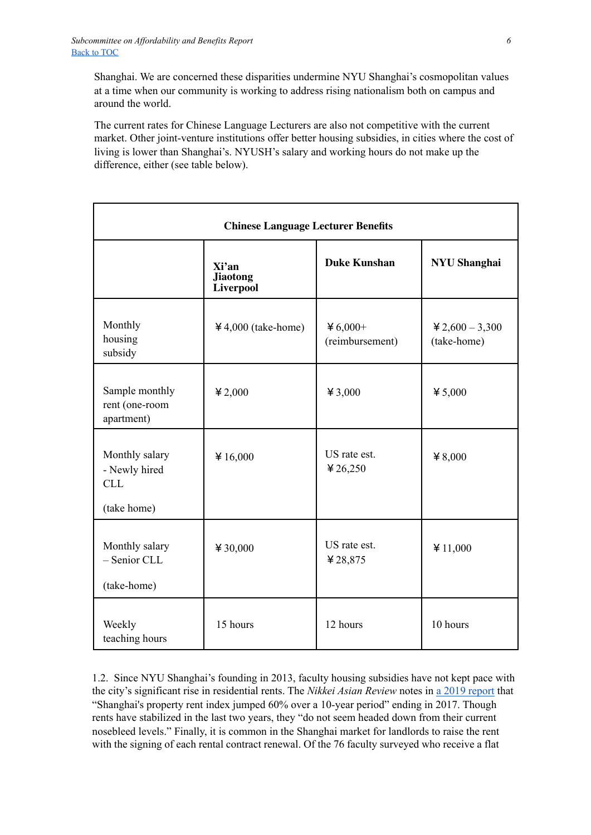Shanghai. We are concerned these disparities undermine NYU Shanghai's cosmopolitan values at a time when our community is working to address rising nationalism both on campus and around the world.

The current rates for Chinese Language Lecturers are also not competitive with the current market. Other joint-venture institutions offer better housing subsidies, in cities where the cost of living is lower than Shanghai's. NYUSH's salary and working hours do not make up the difference, either (see table below).

| <b>Chinese Language Lecturer Benefits</b>                    |                                       |                               |                                 |
|--------------------------------------------------------------|---------------------------------------|-------------------------------|---------------------------------|
|                                                              | Xi'an<br><b>Jiaotong</b><br>Liverpool | <b>Duke Kunshan</b>           | <b>NYU Shanghai</b>             |
| Monthly<br>housing<br>subsidy                                | $4,000$ (take-home)                   | ¥ $6,000+$<br>(reimbursement) | $42,600 - 3,300$<br>(take-home) |
| Sample monthly<br>rent (one-room<br>apartment)               | $*2,000$                              | ¥ 3,000                       | ¥ 5,000                         |
| Monthly salary<br>- Newly hired<br><b>CLL</b><br>(take home) | ¥16,000                               | US rate est.<br>¥26,250       | $*8,000$                        |
| Monthly salary<br>- Senior CLL<br>(take-home)                | ¥ 30,000                              | US rate est.<br>¥28,875       | ¥ $11,000$                      |
| Weekly<br>teaching hours                                     | 15 hours                              | 12 hours                      | 10 hours                        |

1.2. Since NYU Shanghai's founding in 2013, faculty housing subsidies have not kept pace with the city's significant rise in residential rents. The *Nikkei Asian Review* notes in [a 2019 report](https://asia.nikkei.com/Business/Markets/Property/Stratospheric-Shanghai-property-market-plateaus) that "Shanghai's property rent index jumped 60% over a 10-year period" ending in 2017. Though rents have stabilized in the last two years, they "do not seem headed down from their current nosebleed levels." Finally, it is common in the Shanghai market for landlords to raise the rent with the signing of each rental contract renewal. Of the 76 faculty surveyed who receive a flat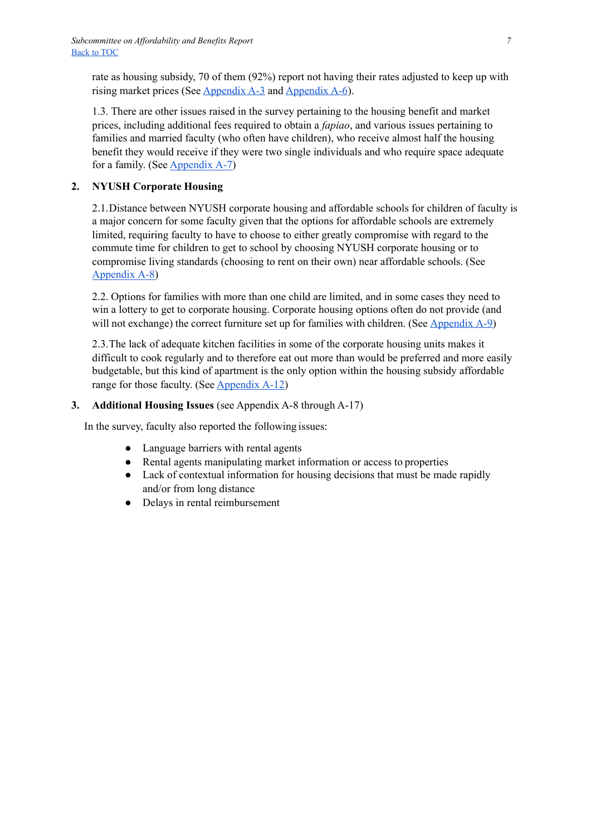rate as housing subsidy, 70 of them (92%) report not having their rates adjusted to keep up with rising market prices (See Appendix A-3 and Appendix A-6).

1.3. There are other issues raised in the survey pertaining to the housing benefit and market prices, including additional fees required to obtain a *fapiao*, and various issues pertaining to families and married faculty (who often have children), who receive almost half the housing benefit they would receive if they were two single individuals and who require space adequate for a family. (See Appendix A-7)

## **2. NYUSH Corporate Housing**

2.1.Distance between NYUSH corporate housing and affordable schools for children of faculty is a major concern for some faculty given that the options for affordable schools are extremely limited, requiring faculty to have to choose to either greatly compromise with regard to the commute time for children to get to school by choosing NYUSH corporate housing or to compromise living standards (choosing to rent on their own) near affordable schools. (See Appendix A-8)

2.2. Options for families with more than one child are limited, and in some cases they need to win a lottery to get to corporate housing. Corporate housing options often do not provide (and will not exchange) the correct furniture set up for families with children. (See Appendix A-9)

2.3.The lack of adequate kitchen facilities in some of the corporate housing units makes it difficult to cook regularly and to therefore eat out more than would be preferred and more easily budgetable, but this kind of apartment is the only option within the housing subsidy affordable range for those faculty. (See Appendix A-12)

## **3. Additional Housing Issues** (see Appendix A-8 through A-17)

In the survey, faculty also reported the following issues:

- Language barriers with rental agents
- Rental agents manipulating market information or access to properties
- Lack of contextual information for housing decisions that must be made rapidly and/or from long distance
- Delays in rental reimbursement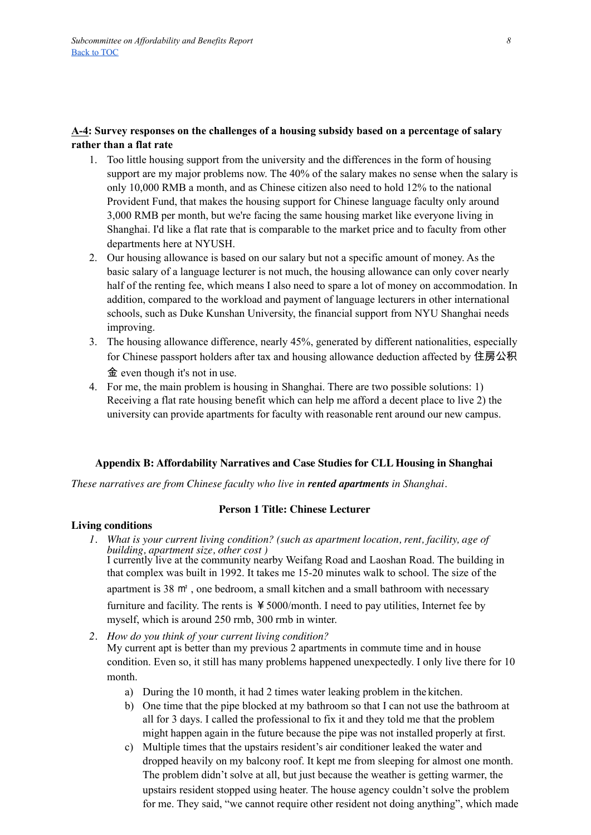## **A-4: Survey responses on the challenges of a housing subsidy based on a percentage of salary rather than a flat rate**

- 1. Too little housing support from the university and the differences in the form of housing support are my major problems now. The 40% of the salary makes no sense when the salary is only 10,000 RMB a month, and as Chinese citizen also need to hold 12% to the national Provident Fund, that makes the housing support for Chinese language faculty only around 3,000 RMB per month, but we're facing the same housing market like everyone living in Shanghai. I'd like a flat rate that is comparable to the market price and to faculty from other departments here at NYUSH.
- 2. Our housing allowance is based on our salary but not a specific amount of money. As the basic salary of a language lecturer is not much, the housing allowance can only cover nearly half of the renting fee, which means I also need to spare a lot of money on accommodation. In addition, compared to the workload and payment of language lecturers in other international schools, such as Duke Kunshan University, the financial support from NYU Shanghai needs improving.
- 3. The housing allowance difference, nearly 45%, generated by different nationalities, especially for Chinese passport holders after tax and housing allowance deduction affected by 住房公积 金 even though it's not in use.
- 4. For me, the main problem is housing in Shanghai. There are two possible solutions: 1) Receiving a flat rate housing benefit which can help me afford a decent place to live 2) the university can provide apartments for faculty with reasonable rent around our new campus.

## **Appendix B: Affordability Narratives and Case Studies for CLL Housing in Shanghai**

*These narratives are from Chinese faculty who live in rented apartments in Shanghai.*

#### **Person 1 Title: Chinese Lecturer**

#### **Living conditions**

- *1. What is your current living condition? (such as apartment location, rent, facility, age of building, apartment size, other cost )* I currently live at the community nearby Weifang Road and Laoshan Road. The building in that complex was built in 1992. It takes me 15-20 minutes walk to school. The size of the apartment is 38 ㎡ , one bedroom, a small kitchen and a small bathroom with necessary furniture and facility. The rents is  $\frac{1}{2}$  5000/month. I need to pay utilities, Internet fee by myself, which is around 250 rmb, 300 rmb in winter.
- *2. How do you think of your current living condition?*

My current apt is better than my previous 2 apartments in commute time and in house condition. Even so, it still has many problems happened unexpectedly. I only live there for 10 month.

- a) During the 10 month, it had 2 times water leaking problem in the kitchen.
- b) One time that the pipe blocked at my bathroom so that I can not use the bathroom at all for 3 days. I called the professional to fix it and they told me that the problem might happen again in the future because the pipe was not installed properly at first.
- c) Multiple times that the upstairs resident's air conditioner leaked the water and dropped heavily on my balcony roof. It kept me from sleeping for almost one month. The problem didn't solve at all, but just because the weather is getting warmer, the upstairs resident stopped using heater. The house agency couldn't solve the problem for me. They said, "we cannot require other resident not doing anything", which made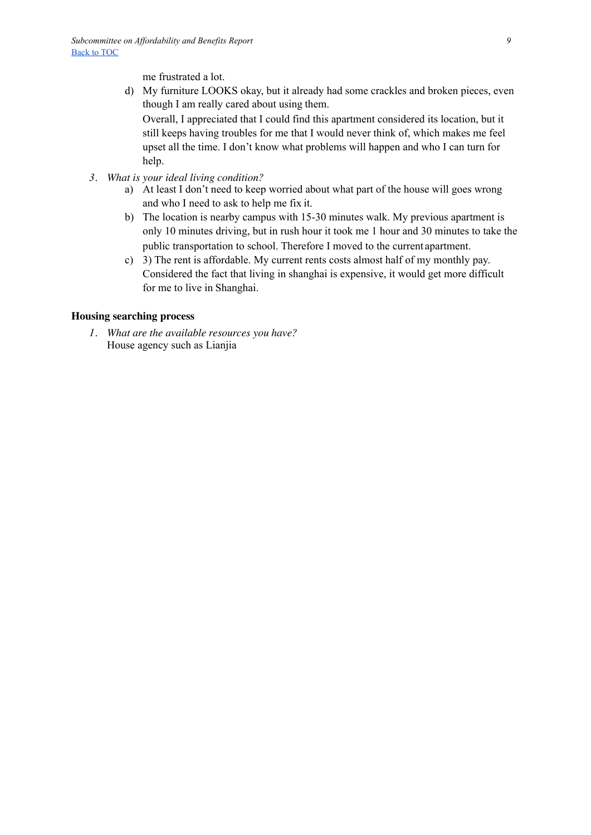me frustrated a lot.

d) My furniture LOOKS okay, but it already had some crackles and broken pieces, even though I am really cared about using them.

Overall, I appreciated that I could find this apartment considered its location, but it still keeps having troubles for me that I would never think of, which makes me feel upset all the time. I don't know what problems will happen and who I can turn for help.

- *3. What is your ideal living condition?*
	- a) At least I don't need to keep worried about what part of the house will goes wrong and who I need to ask to help me fix it.
	- b) The location is nearby campus with 15-30 minutes walk. My previous apartment is only 10 minutes driving, but in rush hour it took me 1 hour and 30 minutes to take the public transportation to school. Therefore I moved to the current apartment.
	- c) 3) The rent is affordable. My current rents costs almost half of my monthly pay. Considered the fact that living in shanghai is expensive, it would get more difficult for me to live in Shanghai.

## **Housing searching process**

*1. What are the available resources you have?* House agency such as Lianjia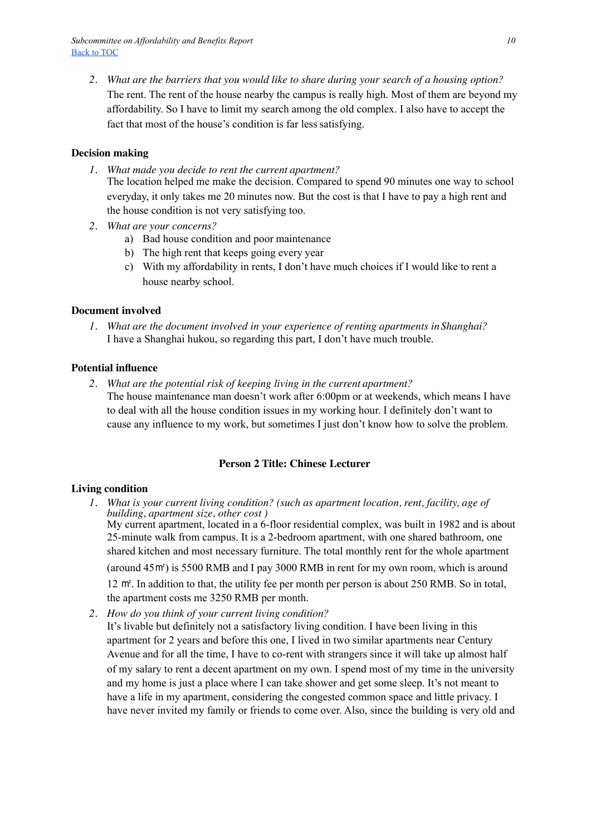*2. What are the barriers that you would like to share during your search of a housing option?*  The rent. The rent of the house nearby the campus is really high. Most of them are beyond my affordability. So I have to limit my search among the old complex. I also have to accept the fact that most of the house's condition is far less satisfying.

## **Decision making**

- *1. What made you decide to rent the current apartment?* The location helped me make the decision. Compared to spend 90 minutes one way to school everyday, it only takes me 20 minutes now. But the cost is that I have to pay a high rent and the house condition is not very satisfying too.
- *2. What are your concerns?*
	- a) Bad house condition and poor maintenance
	- b) The high rent that keeps going every year
	- c) With my affordability in rents, I don't have much choices if I would like to rent a house nearby school.

## **Document involved**

*1. What are the document involved in your experience of renting apartments inShanghai?* I have a Shanghai hukou, so regarding this part, I don't have much trouble.

## **Potential influence**

*2. What are the potential risk of keeping living in the current apartment?* The house maintenance man doesn't work after 6:00pm or at weekends, which means I have to deal with all the house condition issues in my working hour. I definitely don't want to cause any influence to my work, but sometimes I just don't know how to solve the problem.

## **Person 2 Title: Chinese Lecturer**

## **Living condition**

- *1. What is your current living condition? (such as apartment location, rent, facility, age of building, apartment size, other cost )* My current apartment, located in a 6-floor residential complex, was built in 1982 and is about 25-minute walk from campus. It is a 2-bedroom apartment, with one shared bathroom, one shared kitchen and most necessary furniture. The total monthly rent for the whole apartment (around 45㎡) is 5500 RMB and I pay 3000 RMB in rent for my own room, which is around 12 ㎡. In addition to that, the utility fee per month per person is about 250 RMB. So in total, the apartment costs me 3250 RMB per month.
- *2. How do you think of your current living condition?*

It's livable but definitely not a satisfactory living condition. I have been living in this apartment for 2 years and before this one, I lived in two similar apartments near Century Avenue and for all the time, I have to co-rent with strangers since it will take up almost half of my salary to rent a decent apartment on my own. I spend most of my time in the university and my home is just a place where I can take shower and get some sleep. It's not meant to have a life in my apartment, considering the congested common space and little privacy. I have never invited my family or friends to come over. Also, since the building is very old and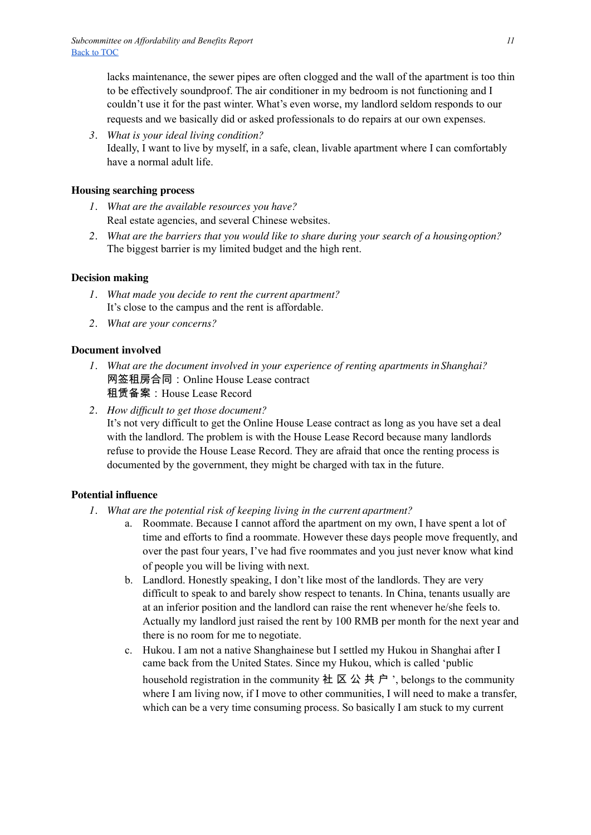lacks maintenance, the sewer pipes are often clogged and the wall of the apartment is too thin to be effectively soundproof. The air conditioner in my bedroom is not functioning and I couldn't use it for the past winter. What's even worse, my landlord seldom responds to our requests and we basically did or asked professionals to do repairs at our own expenses.

*3. What is your ideal living condition?* Ideally, I want to live by myself, in a safe, clean, livable apartment where I can comfortably have a normal adult life.

## **Housing searching process**

- *1. What are the available resources you have?* Real estate agencies, and several Chinese websites.
- *2. What are the barriers that you would like to share during your search of a housingoption?* The biggest barrier is my limited budget and the high rent.

## **Decision making**

- *1. What made you decide to rent the current apartment?* It's close to the campus and the rent is affordable.
- *2. What are your concerns?*

## **Document involved**

- *1. What are the document involved in your experience of renting apartments inShanghai?* 网签租房合同:Online House Lease contract 租赁备案:House Lease Record
- *2. How difficult to get those document?*

It's not very difficult to get the Online House Lease contract as long as you have set a deal with the landlord. The problem is with the House Lease Record because many landlords refuse to provide the House Lease Record. They are afraid that once the renting process is documented by the government, they might be charged with tax in the future.

#### **Potential influence**

- *1. What are the potential risk of keeping living in the current apartment?*
	- a. Roommate. Because I cannot afford the apartment on my own, I have spent a lot of time and efforts to find a roommate. However these days people move frequently, and over the past four years, I've had five roommates and you just never know what kind of people you will be living with next.
	- b. Landlord. Honestly speaking, I don't like most of the landlords. They are very difficult to speak to and barely show respect to tenants. In China, tenants usually are at an inferior position and the landlord can raise the rent whenever he/she feels to. Actually my landlord just raised the rent by 100 RMB per month for the next year and there is no room for me to negotiate.
	- c. Hukou. I am not a native Shanghainese but I settled my Hukou in Shanghai after I came back from the United States. Since my Hukou, which is called 'public household registration in the community  $\pm \boxtimes \triangle \pm \land \cdot$ , belongs to the community where I am living now, if I move to other communities, I will need to make a transfer, which can be a very time consuming process. So basically I am stuck to my current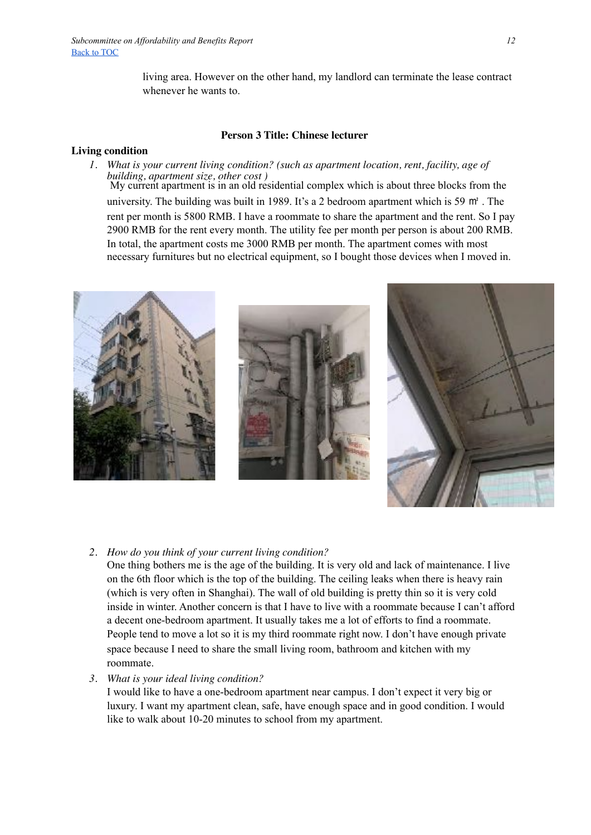living area. However on the other hand, my landlord can terminate the lease contract whenever he wants to.

#### **Person 3 Title: Chinese lecturer**

#### **Living condition**

*1. What is your current living condition? (such as apartment location, rent, facility, age of building, apartment size, other cost )* My current apartment is in an old residential complex which is about three blocks from the university. The building was built in 1989. It's a 2 bedroom apartment which is 59 ㎡ . The rent per month is 5800 RMB. I have a roommate to share the apartment and the rent. So I pay 2900 RMB for the rent every month. The utility fee per month per person is about 200 RMB. In total, the apartment costs me 3000 RMB per month. The apartment comes with most necessary furnitures but no electrical equipment, so I bought those devices when I moved in.



#### *2. How do you think of your current living condition?*

One thing bothers me is the age of the building. It is very old and lack of maintenance. I live on the 6th floor which is the top of the building. The ceiling leaks when there is heavy rain (which is very often in Shanghai). The wall of old building is pretty thin so it is very cold inside in winter. Another concern is that I have to live with a roommate because I can't afford a decent one-bedroom apartment. It usually takes me a lot of efforts to find a roommate. People tend to move a lot so it is my third roommate right now. I don't have enough private space because I need to share the small living room, bathroom and kitchen with my roommate.

*3. What is your ideal living condition?*

I would like to have a one-bedroom apartment near campus. I don't expect it very big or luxury. I want my apartment clean, safe, have enough space and in good condition. I would like to walk about 10-20 minutes to school from my apartment.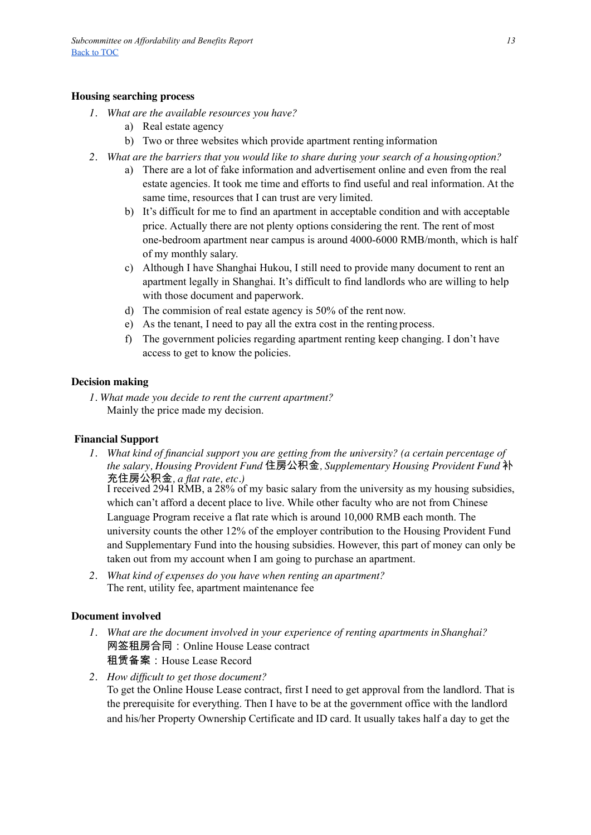## **Housing searching process**

- *1. What are the available resources you have?*
	- a) Real estate agency
	- b) Two or three websites which provide apartment renting information
- *2. What are the barriers that you would like to share during your search of a housingoption?*
	- a) There are a lot of fake information and advertisement online and even from the real estate agencies. It took me time and efforts to find useful and real information. At the same time, resources that I can trust are very limited.
	- b) It's difficult for me to find an apartment in acceptable condition and with acceptable price. Actually there are not plenty options considering the rent. The rent of most one-bedroom apartment near campus is around 4000-6000 RMB/month, which is half of my monthly salary.
	- c) Although I have Shanghai Hukou, I still need to provide many document to rent an apartment legally in Shanghai. It's difficult to find landlords who are willing to help with those document and paperwork.
	- d) The commision of real estate agency is 50% of the rent now.
	- e) As the tenant, I need to pay all the extra cost in the renting process.
	- f) The government policies regarding apartment renting keep changing. I don't have access to get to know the policies.

## **Decision making**

*1. What made you decide to rent the current apartment?* Mainly the price made my decision.

## **Financial Support**

*1. What kind of financial support you are getting from the university? (a certain percentage of the salary, Housing Provident Fund* 住房公积金*, Supplementary Housing Provident Fund* 补 充住房公积金*, a flat rate, etc.)*

I received 2941 RMB, a 28% of my basic salary from the university as my housing subsidies, which can't afford a decent place to live. While other faculty who are not from Chinese Language Program receive a flat rate which is around 10,000 RMB each month. The university counts the other 12% of the employer contribution to the Housing Provident Fund and Supplementary Fund into the housing subsidies. However, this part of money can only be taken out from my account when I am going to purchase an apartment.

*2. What kind of expenses do you have when renting an apartment?* The rent, utility fee, apartment maintenance fee

## **Document involved**

- *1. What are the document involved in your experience of renting apartments inShanghai?* 网签租房合同:Online House Lease contract 租赁备案:House Lease Record
- *2. How difficult to get those document?* To get the Online House Lease contract, first I need to get approval from the landlord. That is the prerequisite for everything. Then I have to be at the government office with the landlord and his/her Property Ownership Certificate and ID card. It usually takes half a day to get the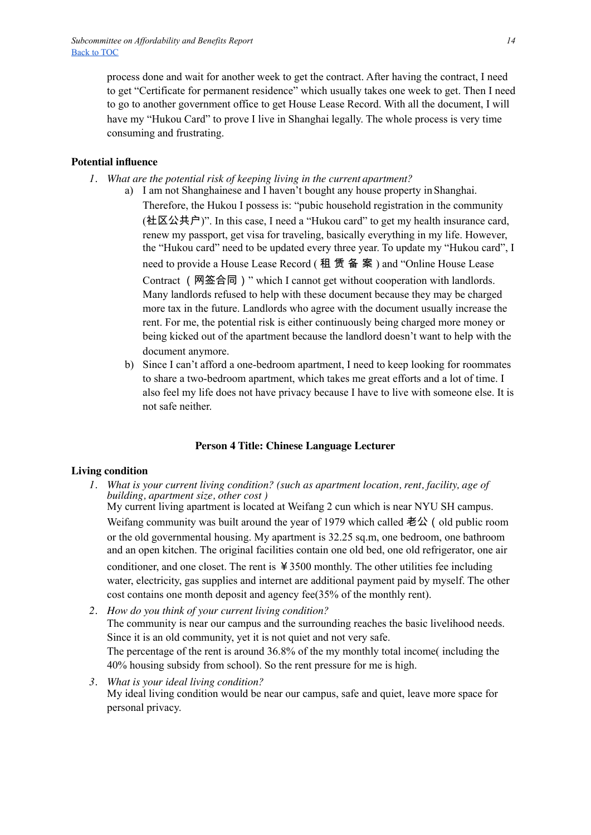process done and wait for another week to get the contract. After having the contract, I need to get "Certificate for permanent residence" which usually takes one week to get. Then I need to go to another government office to get House Lease Record. With all the document, I will have my "Hukou Card" to prove I live in Shanghai legally. The whole process is very time consuming and frustrating.

## **Potential influence**

*1. What are the potential risk of keeping living in the current apartment?*

a) I am not Shanghainese and I haven't bought any house property in Shanghai. Therefore, the Hukou I possess is: "pubic household registration in the community (社区公共户)". In this case, I need a "Hukou card" to get my health insurance card, renew my passport, get visa for traveling, basically everything in my life. However, the "Hukou card" need to be updated every three year. To update my "Hukou card", I need to provide a House Lease Record (租 赁 备 案) and "Online House Lease Contract (网签合同)" which I cannot get without cooperation with landlords. Many landlords refused to help with these document because they may be charged more tax in the future. Landlords who agree with the document usually increase the rent. For me, the potential risk is either continuously being charged more money or being kicked out of the apartment because the landlord doesn't want to help with the document anymore.

b) Since I can't afford a one-bedroom apartment, I need to keep looking for roommates to share a two-bedroom apartment, which takes me great efforts and a lot of time. I also feel my life does not have privacy because I have to live with someone else. It is not safe neither.

## **Person 4 Title: Chinese Language Lecturer**

#### **Living condition**

*1. What is your current living condition? (such as apartment location, rent, facility, age of building, apartment size, other cost )*

My current living apartment is located at Weifang 2 cun which is near NYU SH campus. Weifang community was built around the year of 1979 which called 老公 (old public room or the old governmental housing. My apartment is 32.25 sq.m, one bedroom, one bathroom and an open kitchen. The original facilities contain one old bed, one old refrigerator, one air

conditioner, and one closet. The rent is  $43500$  monthly. The other utilities fee including water, electricity, gas supplies and internet are additional payment paid by myself. The other cost contains one month deposit and agency fee(35% of the monthly rent).

- *2. How do you think of your current living condition?* The community is near our campus and the surrounding reaches the basic livelihood needs. Since it is an old community, yet it is not quiet and not very safe. The percentage of the rent is around 36.8% of the my monthly total income( including the 40% housing subsidy from school). So the rent pressure for me is high.
- *3. What is your ideal living condition?* My ideal living condition would be near our campus, safe and quiet, leave more space for personal privacy.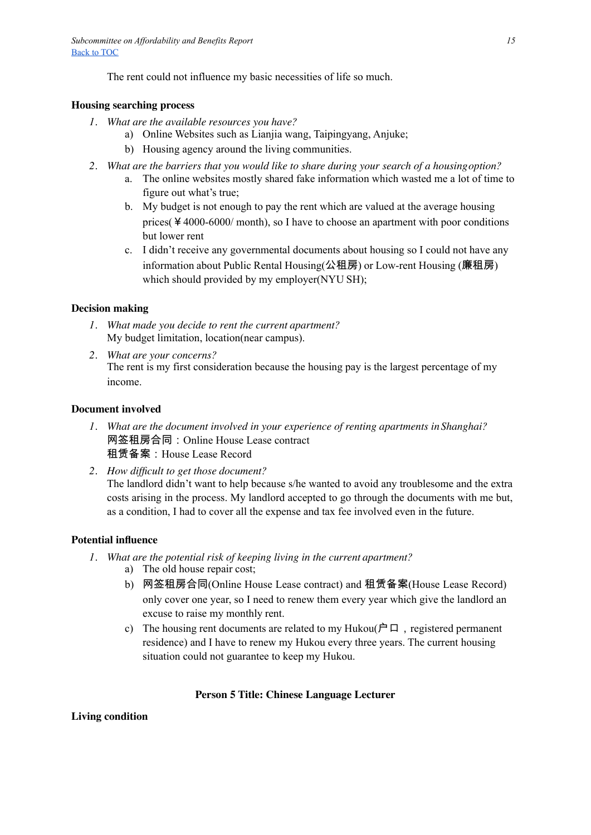The rent could not influence my basic necessities of life so much.

## **Housing searching process**

- *1. What are the available resources you have?*
	- a) Online Websites such as Lianjia wang, Taipingyang, Anjuke;
	- b) Housing agency around the living communities.
- *2. What are the barriers that you would like to share during your search of a housingoption?*
	- a. The online websites mostly shared fake information which wasted me a lot of time to figure out what's true;
	- b. My budget is not enough to pay the rent which are valued at the average housing prices(¥4000-6000/ month), so I have to choose an apartment with poor conditions but lower rent
	- c. I didn't receive any governmental documents about housing so I could not have any information about Public Rental Housing(公租房) or Low-rent Housing (廉租房) which should provided by my employer(NYU SH);

## **Decision making**

- *1. What made you decide to rent the current apartment?* My budget limitation, location(near campus).
- *2. What are your concerns?* The rent is my first consideration because the housing pay is the largest percentage of my income.

## **Document involved**

- *1. What are the document involved in your experience of renting apartments inShanghai?* 网签租房合同:Online House Lease contract 租赁备案:House Lease Record
- *2. How difficult to get those document?* The landlord didn't want to help because s/he wanted to avoid any troublesome and the extra costs arising in the process. My landlord accepted to go through the documents with me but, as a condition, I had to cover all the expense and tax fee involved even in the future.

## **Potential influence**

- *1. What are the potential risk of keeping living in the current apartment?*
	- a) The old house repair cost;
	- b) 网签租房合同(Online House Lease contract) and 租赁备案(House Lease Record) only cover one year, so I need to renew them every year which give the landlord an excuse to raise my monthly rent.
	- c) The housing rent documents are related to my Hukou( $\angle$  $\Box$ , registered permanent residence) and I have to renew my Hukou every three years. The current housing situation could not guarantee to keep my Hukou.

## **Person 5 Title: Chinese Language Lecturer**

## **Living condition**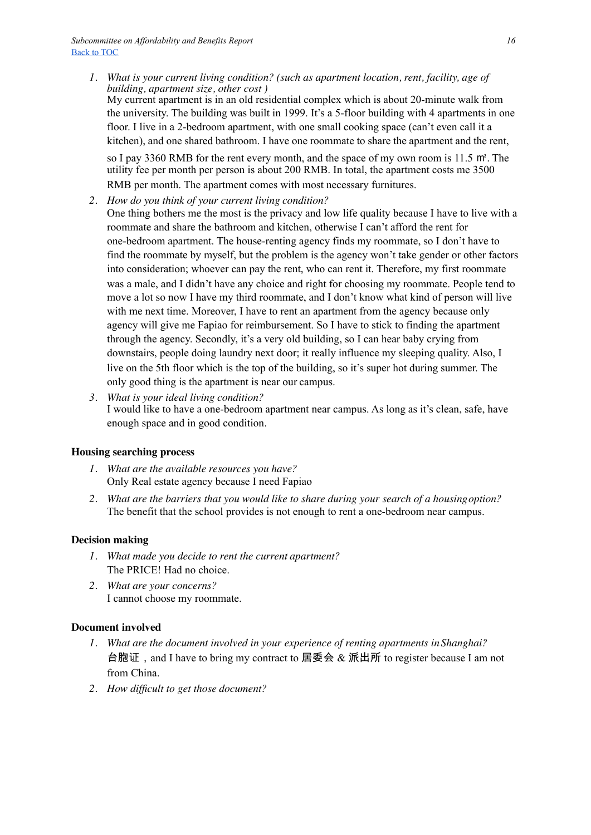*1. What is your current living condition? (such as apartment location, rent, facility, age of building, apartment size, other cost )*

My current apartment is in an old residential complex which is about 20-minute walk from the university. The building was built in 1999. It's a 5-floor building with 4 apartments in one floor. I live in a 2-bedroom apartment, with one small cooking space (can't even call it a kitchen), and one shared bathroom. I have one roommate to share the apartment and the rent, so I pay 3360 RMB for the rent every month, and the space of my own room is 11.5 ㎡*.* The utility fee per month per person is about 200 RMB. In total, the apartment costs me 3500 RMB per month. The apartment comes with most necessary furnitures.

- *2. How do you think of your current living condition?*
- One thing bothers me the most is the privacy and low life quality because I have to live with a roommate and share the bathroom and kitchen, otherwise I can't afford the rent for one-bedroom apartment. The house-renting agency finds my roommate, so I don't have to find the roommate by myself, but the problem is the agency won't take gender or other factors into consideration; whoever can pay the rent, who can rent it. Therefore, my first roommate was a male, and I didn't have any choice and right for choosing my roommate. People tend to move a lot so now I have my third roommate, and I don't know what kind of person will live with me next time. Moreover, I have to rent an apartment from the agency because only agency will give me Fapiao for reimbursement. So I have to stick to finding the apartment through the agency. Secondly, it's a very old building, so I can hear baby crying from downstairs, people doing laundry next door; it really influence my sleeping quality. Also, I live on the 5th floor which is the top of the building, so it's super hot during summer. The only good thing is the apartment is near our campus.
- *3. What is your ideal living condition?* I would like to have a one-bedroom apartment near campus. As long as it's clean, safe, have enough space and in good condition.

#### **Housing searching process**

- *1. What are the available resources you have?* Only Real estate agency because I need Fapiao
- *2. What are the barriers that you would like to share during your search of a housingoption?* The benefit that the school provides is not enough to rent a one-bedroom near campus.

## **Decision making**

- *1. What made you decide to rent the current apartment?* The PRICE! Had no choice.
- *2. What are your concerns?* I cannot choose my roommate.

## **Document involved**

- *1. What are the document involved in your experience of renting apartments inShanghai?* 台胞证, and I have to bring my contract to 居委会  $\&$  派出所 to register because I am not from China.
- *2. How difficult to get those document?*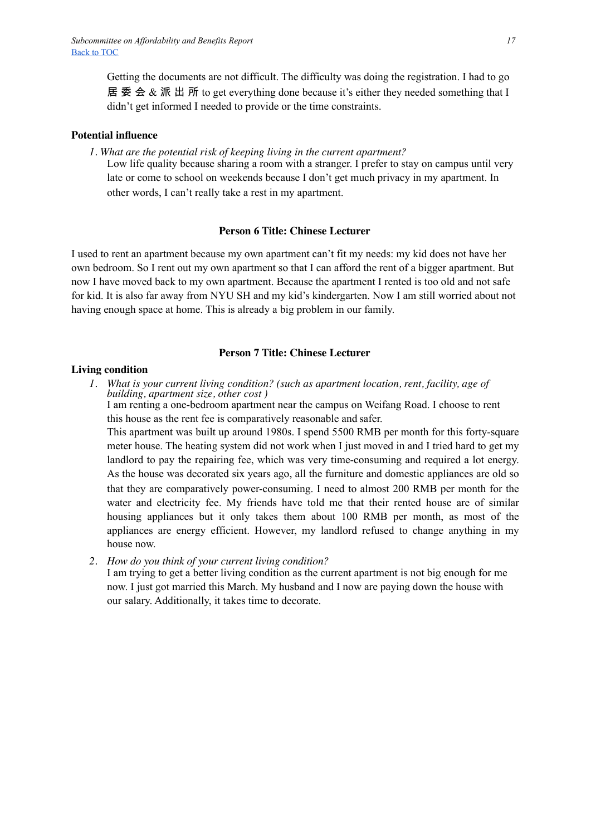Getting the documents are not difficult. The difficulty was doing the registration. I had to go 居 委 会 & 派 出 所 to get everything done because it's either they needed something that I didn't get informed I needed to provide or the time constraints.

## **Potential influence**

- *1. What are the potential risk of keeping living in the current apartment?*
	- Low life quality because sharing a room with a stranger. I prefer to stay on campus until very late or come to school on weekends because I don't get much privacy in my apartment. In other words, I can't really take a rest in my apartment.

## **Person 6 Title: Chinese Lecturer**

I used to rent an apartment because my own apartment can't fit my needs: my kid does not have her own bedroom. So I rent out my own apartment so that I can afford the rent of a bigger apartment. But now I have moved back to my own apartment. Because the apartment I rented is too old and not safe for kid. It is also far away from NYU SH and my kid's kindergarten. Now I am still worried about not having enough space at home. This is already a big problem in our family.

## **Person 7 Title: Chinese Lecturer**

## **Living condition**

*1. What is your current living condition? (such as apartment location, rent, facility, age of building, apartment size, other cost )*

I am renting a one-bedroom apartment near the campus on Weifang Road. I choose to rent this house as the rent fee is comparatively reasonable and safer.

This apartment was built up around 1980s. I spend 5500 RMB per month for this forty-square meter house. The heating system did not work when I just moved in and I tried hard to get my landlord to pay the repairing fee, which was very time-consuming and required a lot energy. As the house was decorated six years ago, all the furniture and domestic appliances are old so that they are comparatively power-consuming. I need to almost 200 RMB per month for the water and electricity fee. My friends have told me that their rented house are of similar housing appliances but it only takes them about 100 RMB per month, as most of the appliances are energy efficient. However, my landlord refused to change anything in my house now.

*2. How do you think of your current living condition?*

I am trying to get a better living condition as the current apartment is not big enough for me now. I just got married this March. My husband and I now are paying down the house with our salary. Additionally, it takes time to decorate.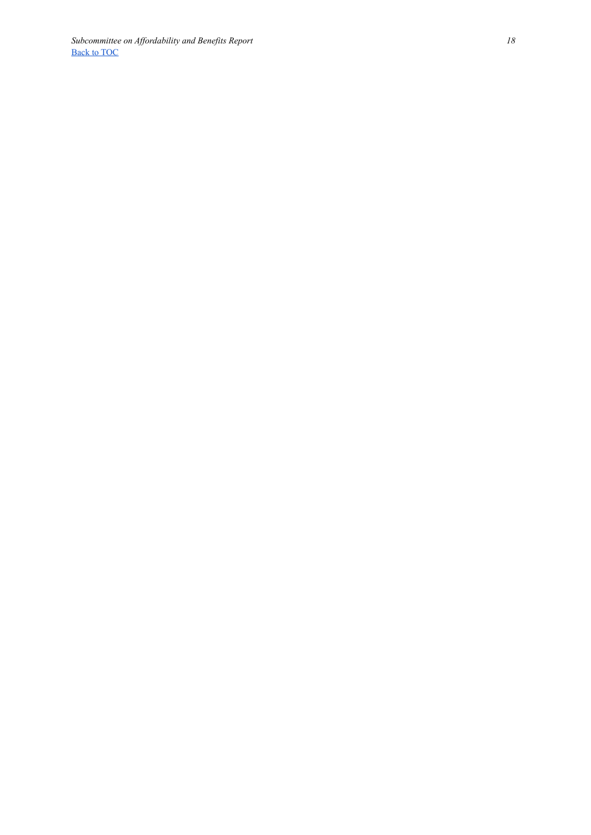*Subcommittee on Affordability and Benefits Report*  Back to TOC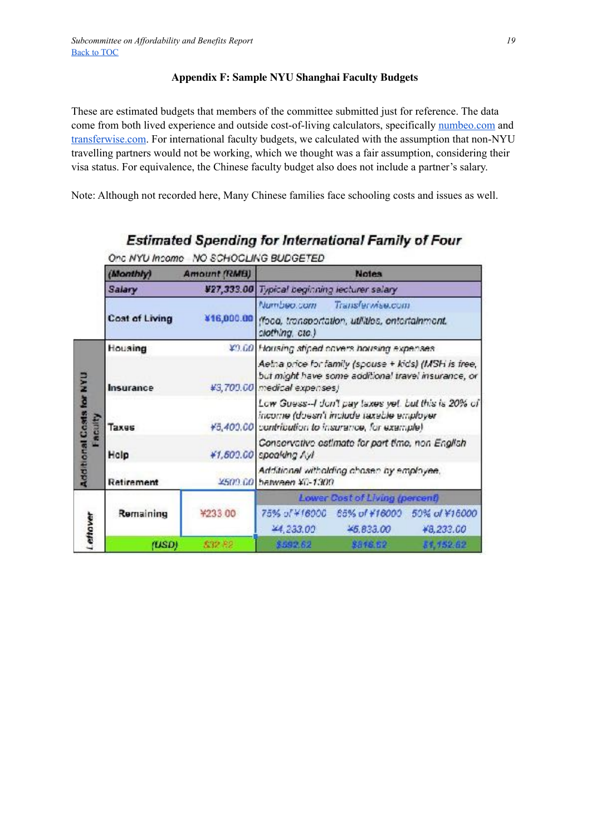## **Appendix F: Sample NYU Shanghai Faculty Budgets**

These are estimated budgets that members of the committee submitted just for reference. The data come from both lived experience and outside cost-of-living calculators, specifically [numbeo.com](https://www.numbeo.com/cost-of-living/city-estimator/in/Shanghai) and [transferwise.com.](https://transferwise.com/gb/blog/cost-of-living-in-china) For international faculty budgets, we calculated with the assumption that non-NYU travelling partners would not be working, which we thought was a fair assumption, considering their visa status. For equivalence, the Chinese faculty budget also does not include a partner's salary.

Note: Although not recorded here, Many Chinese families face schooling costs and issues as well.

|                                                       | (Monthly)      | One NYU Income NO SCHOCLING BUDGETED<br>Amount (RMB) | <b>Notes</b>                                                                                                                                         |
|-------------------------------------------------------|----------------|------------------------------------------------------|------------------------------------------------------------------------------------------------------------------------------------------------------|
|                                                       | Salary         |                                                      | ¥27,333.00 Typical beginning lecturer salary                                                                                                         |
|                                                       | Cost of Living | ¥16,000.00                                           | Numbeo.com<br>Transferwise.com<br>(foca, transportation, utilities, entertainment.<br>clothing, ctc.)                                                |
| <b>TIAN</b><br>ğ<br><b>Additional Costs</b><br>aculty | Housing        |                                                      | ¥9.60 Housing stiped covers housing expenses.                                                                                                        |
|                                                       | Insurance      |                                                      | Aetna price for family (spouse + kids) (MSH is free,<br>but might have some additional travel insurance, or<br>#3,700.00 medical expenses)           |
|                                                       | Taxes          |                                                      | Low Guess-I don't pay taxes yet, but this is 20% of<br>income (doesn't include taxable employer<br>¥5,400.00 contribution to insurance, for example) |
|                                                       | Holp           |                                                      | Conservative estimate for part time, non English<br>#1,500.00 spoaking Ayl                                                                           |
|                                                       | Retirement     |                                                      | Additional witholding chosen by employee,<br>¥509.00 between ¥0-1309                                                                                 |
|                                                       |                |                                                      | Lower Cost of Living (percent)                                                                                                                       |
| <b>Lettover</b>                                       | Remaining      | ¥233.00                                              | 75% of ¥16000 65% of ¥16000 50% of ¥16000<br>44, 233, 00<br>45,833,00<br>+8,233.00                                                                   |
|                                                       | (USD)          | \$32.82                                              | \$592.62<br>\$818.52<br>84, 152.62                                                                                                                   |

## **Estimated Spending for International Family of Four**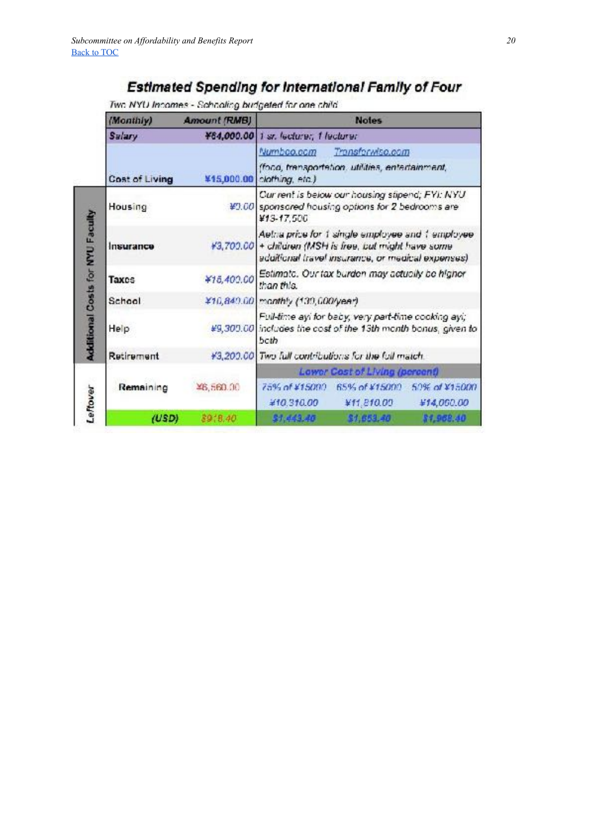## Estimated Spending for International Family of Four

Two NYU Incomes - Schooling budgeted for one child

|                                         | (Monthly)             | <b>Amount (RMB)</b> | <b>Notes</b>                                                                                                                                                    |
|-----------------------------------------|-----------------------|---------------------|-----------------------------------------------------------------------------------------------------------------------------------------------------------------|
|                                         | Salary                |                     | ¥64,000.00 1 sr. fecturer, 1 lecturer                                                                                                                           |
|                                         | <b>Cost of Living</b> | ¥15,000.00          | Transformiso.com<br>Numboo.com<br>(foco, transportation, utilities, entertainment,<br>clothing, etc.)                                                           |
| <b>Additional Costs for NYU Faculty</b> | Housing               |                     | Cur rent is below our housing stipend; FYI: NYU<br>¥9.00 sponsored housing options for 2 bedrooms are<br>¥13-17.500                                             |
|                                         | Insurance             |                     | Aetha price for 1 single employee and 1 employee<br>#3,700.00 + children (MSH is free, but might have some<br>additional travel insurance, or medical expenses) |
|                                         | Taxes                 | ¥15,400.00          | Estimate. Our tax burden may actually be higher<br>than this.                                                                                                   |
|                                         | School                |                     | ¥16,849.60 monthly (139,600/year)                                                                                                                               |
|                                         | Help                  |                     | Full-time ayi for baby, very part-time cooking ayi;<br>#9,300.00 includes the cost of the 13th month bonus, given to<br>both                                    |
|                                         | Retirement            |                     | ¥3,200.00 Two full contributions for the full match.                                                                                                            |
| Leftover                                |                       |                     | Lower Cost of Living (percent)                                                                                                                                  |
|                                         | Remaining             | ¥6,560.00           | 65% of ¥15000 50% of ¥15000<br>75% of ¥15000<br>¥11,810.00<br>¥10.310.00<br>¥14,000.00                                                                          |
|                                         | (USD)                 | 8918.40             | \$1,968.40<br>\$1,443.40<br>\$1,653,40                                                                                                                          |